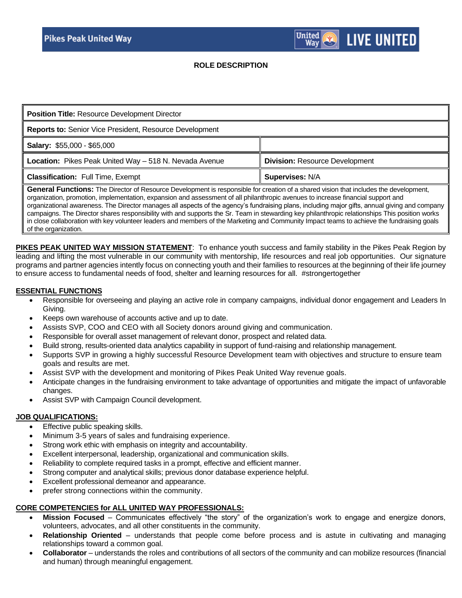### **ROLE DESCRIPTION**

| <b>Position Title: Resource Development Director</b>           |                                       |
|----------------------------------------------------------------|---------------------------------------|
| <b>Reports to: Senior Vice President, Resource Development</b> |                                       |
| <b>Salary: \$55,000 - \$65,000</b>                             |                                       |
| Location: Pikes Peak United Way - 518 N. Nevada Avenue         | <b>Division: Resource Development</b> |
| <b>Classification: Full Time, Exempt</b>                       | Supervises: N/A                       |

**General Functions:** The Director of Resource Development is responsible for creation of a shared vision that includes the development, organization, promotion, implementation, expansion and assessment of all philanthropic avenues to increase financial support and organizational awareness. The Director manages all aspects of the agency's fundraising plans, including major gifts, annual giving and company campaigns. The Director shares responsibility with and supports the Sr. Team in stewarding key philanthropic relationships This position works in close collaboration with key volunteer leaders and members of the Marketing and Community Impact teams to achieve the fundraising goals of the organization.

**PIKES PEAK UNITED WAY MISSION STATEMENT**: To enhance youth success and family stability in the Pikes Peak Region by leading and lifting the most vulnerable in our community with mentorship, life resources and real job opportunities. Our signature programs and partner agencies intently focus on connecting youth and their families to resources at the beginning of their life journey to ensure access to fundamental needs of food, shelter and learning resources for all. #strongertogether

# **ESSENTIAL FUNCTIONS**

- Responsible for overseeing and playing an active role in company campaigns, individual donor engagement and Leaders In Giving.
- Keeps own warehouse of accounts active and up to date.
- Assists SVP, COO and CEO with all Society donors around giving and communication.
- Responsible for overall asset management of relevant donor, prospect and related data.
- Build strong, results-oriented data analytics capability in support of fund-raising and relationship management.
- Supports SVP in growing a highly successful Resource Development team with objectives and structure to ensure team goals and results are met.
- Assist SVP with the development and monitoring of Pikes Peak United Way revenue goals.
- Anticipate changes in the fundraising environment to take advantage of opportunities and mitigate the impact of unfavorable changes.
- Assist SVP with Campaign Council development.

# **JOB QUALIFICATIONS:**

- Effective public speaking skills.
- Minimum 3-5 years of sales and fundraising experience.
- Strong work ethic with emphasis on integrity and accountability.
- Excellent interpersonal, leadership, organizational and communication skills.
- Reliability to complete required tasks in a prompt, effective and efficient manner.
- Strong computer and analytical skills; previous donor database experience helpful.
- Excellent professional demeanor and appearance.
- prefer strong connections within the community.

# **CORE COMPETENCIES for ALL UNITED WAY PROFESSIONALS:**

- **Mission Focused** Communicates effectively "the story" of the organization's work to engage and energize donors, volunteers, advocates, and all other constituents in the community.
- **Relationship Oriented** understands that people come before process and is astute in cultivating and managing relationships toward a common goal.
- **Collaborator** understands the roles and contributions of all sectors of the community and can mobilize resources (financial and human) through meaningful engagement.